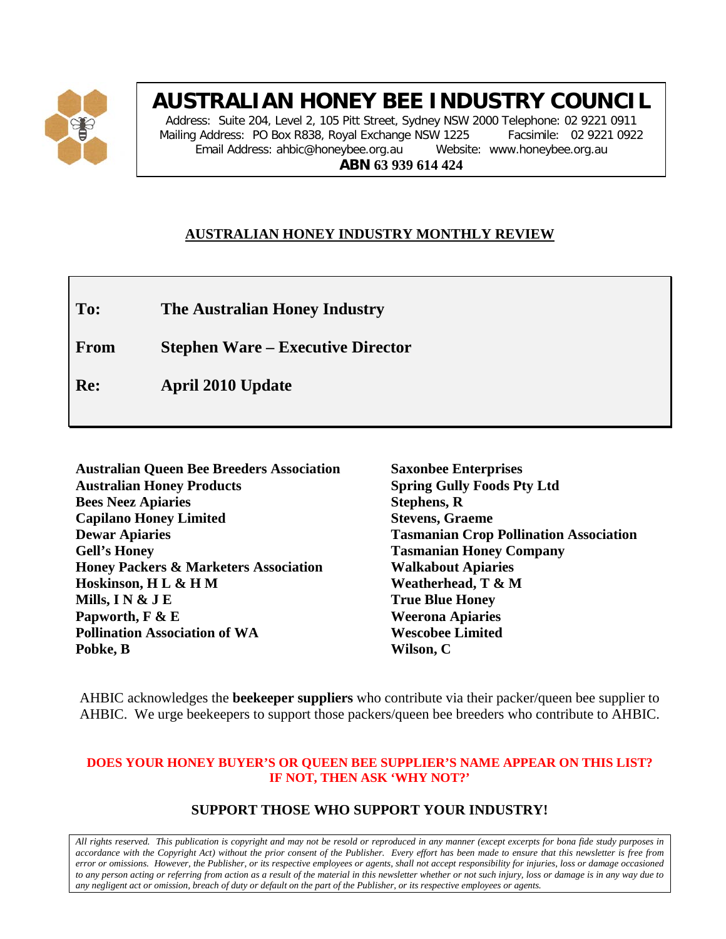

# **AUSTRALIAN HONEY BEE INDUSTRY COUNCIL**

Address: Suite 204, Level 2, 105 Pitt Street, Sydney NSW 2000 Telephone: 02 9221 0911 Mailing Address: PO Box R838, Royal Exchange NSW 1225 Facsimile: 02 9221 0922 Email Address: ahbic@honeybee.org.au Website: www.honeybee.org.au **ABN 63 939 614 424**

### **AUSTRALIAN HONEY INDUSTRY MONTHLY REVIEW**

**To: The Australian Honey Industry**

**From Stephen Ware – Executive Director**

**Re: April 2010 Update**

| <b>Australian Queen Bee Breeders Association</b> | <b>Saxonbee Enterprises</b>                   |
|--------------------------------------------------|-----------------------------------------------|
| <b>Australian Honey Products</b>                 | <b>Spring Gully Foods Pty Ltd</b>             |
| <b>Bees Neez Apiaries</b>                        | <b>Stephens, R</b>                            |
| <b>Capilano Honey Limited</b>                    | <b>Stevens, Graeme</b>                        |
| <b>Dewar Apiaries</b>                            | <b>Tasmanian Crop Pollination Association</b> |
| <b>Gell's Honey</b>                              | <b>Tasmanian Honey Company</b>                |
| <b>Honey Packers &amp; Marketers Association</b> | <b>Walkabout Apiaries</b>                     |
| Hoskinson, HL & HM                               | Weatherhead, T & M                            |
| Mills, I N $\&$ J E                              | <b>True Blue Honey</b>                        |
| Papworth, F & E                                  | <b>Weerona Apiaries</b>                       |
| <b>Pollination Association of WA</b>             | <b>Wescobee Limited</b>                       |
| Pobke, B                                         | Wilson, C                                     |

AHBIC acknowledges the **beekeeper suppliers** who contribute via their packer/queen bee supplier to AHBIC. We urge beekeepers to support those packers/queen bee breeders who contribute to AHBIC.

#### **DOES YOUR HONEY BUYER'S OR QUEEN BEE SUPPLIER'S NAME APPEAR ON THIS LIST? IF NOT, THEN ASK 'WHY NOT?'**

### **SUPPORT THOSE WHO SUPPORT YOUR INDUSTRY!**

*All rights reserved. This publication is copyright and may not be resold or reproduced in any manner (except excerpts for bona fide study purposes in accordance with the Copyright Act) without the prior consent of the Publisher. Every effort has been made to ensure that this newsletter is free from error or omissions. However, the Publisher, or its respective employees or agents, shall not accept responsibility for injuries, loss or damage occasioned to any person acting or referring from action as a result of the material in this newsletter whether or not such injury, loss or damage is in any way due to any negligent act or omission, breach of duty or default on the part of the Publisher, or its respective employees or agents.*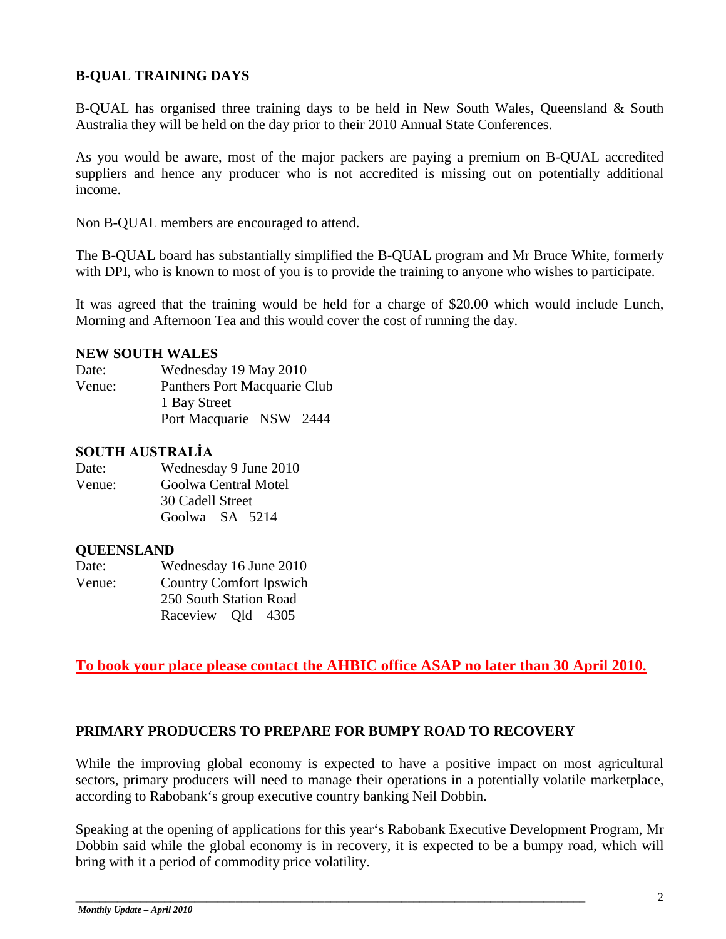### **B-QUAL TRAINING DAYS**

B-QUAL has organised three training days to be held in New South Wales, Queensland & South Australia they will be held on the day prior to their 2010 Annual State Conferences.

As you would be aware, most of the major packers are paying a premium on B-QUAL accredited suppliers and hence any producer who is not accredited is missing out on potentially additional income.

Non B-QUAL members are encouraged to attend.

The B-QUAL board has substantially simplified the B-QUAL program and Mr Bruce White, formerly with DPI, who is known to most of you is to provide the training to anyone who wishes to participate.

It was agreed that the training would be held for a charge of \$20.00 which would include Lunch, Morning and Afternoon Tea and this would cover the cost of running the day.

### **NEW SOUTH WALES**

| Date:  | Wednesday 19 May 2010        |  |
|--------|------------------------------|--|
| Venue: | Panthers Port Macquarie Club |  |
|        | 1 Bay Street                 |  |
|        | Port Macquarie NSW 2444      |  |

### **SOUTH AUSTRALİA**

| Date:  | Wednesday 9 June 2010 |
|--------|-----------------------|
| Venue: | Goolwa Central Motel  |
|        | 30 Cadell Street      |
|        | Goolwa SA 5214        |

### **QUEENSLAND**

| Date:                                    | Wednesday 16 June 2010 |  |
|------------------------------------------|------------------------|--|
| <b>Country Comfort Ipswich</b><br>Venue: |                        |  |
|                                          | 250 South Station Road |  |
|                                          | Raceview Old 4305      |  |

**To book your place please contact the AHBIC office ASAP no later than 30 April 2010.**

### **PRIMARY PRODUCERS TO PREPARE FOR BUMPY ROAD TO RECOVERY**

While the improving global economy is expected to have a positive impact on most agricultural sectors, primary producers will need to manage their operations in a potentially volatile marketplace, according to Rabobank's group executive country banking Neil Dobbin.

Speaking at the opening of applications for this year's Rabobank Executive Development Program, Mr Dobbin said while the global economy is in recovery, it is expected to be a bumpy road, which will bring with it a period of commodity price volatility.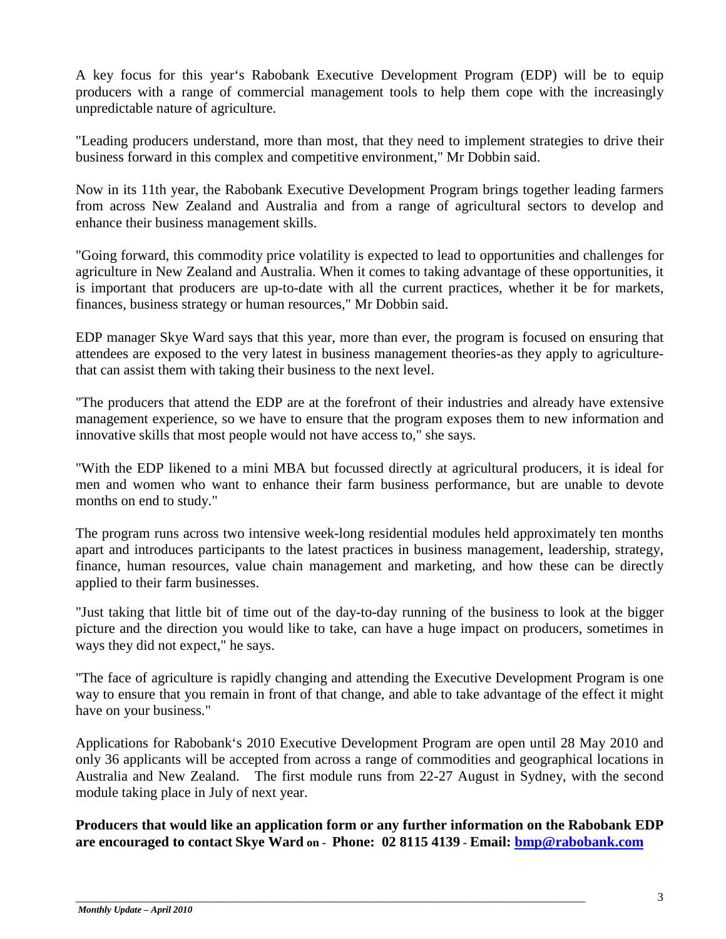A key focus for this year's Rabobank Executive Development Program (EDP) will be to equip producers with a range of commercial management tools to help them cope with the increasingly unpredictable nature of agriculture.

"Leading producers understand, more than most, that they need to implement strategies to drive their business forward in this complex and competitive environment," Mr Dobbin said.

Now in its 11th year, the Rabobank Executive Development Program brings together leading farmers from across New Zealand and Australia and from a range of agricultural sectors to develop and enhance their business management skills.

"Going forward, this commodity price volatility is expected to lead to opportunities and challenges for agriculture in New Zealand and Australia. When it comes to taking advantage of these opportunities, it is important that producers are up-to-date with all the current practices, whether it be for markets, finances, business strategy or human resources," Mr Dobbin said.

EDP manager Skye Ward says that this year, more than ever, the program is focused on ensuring that attendees are exposed to the very latest in business management theories-as they apply to agriculturethat can assist them with taking their business to the next level.

"The producers that attend the EDP are at the forefront of their industries and already have extensive management experience, so we have to ensure that the program exposes them to new information and innovative skills that most people would not have access to," she says.

"With the EDP likened to a mini MBA but focussed directly at agricultural producers, it is ideal for men and women who want to enhance their farm business performance, but are unable to devote months on end to study."

The program runs across two intensive week-long residential modules held approximately ten months apart and introduces participants to the latest practices in business management, leadership, strategy, finance, human resources, value chain management and marketing, and how these can be directly applied to their farm businesses.

"Just taking that little bit of time out of the day-to-day running of the business to look at the bigger picture and the direction you would like to take, can have a huge impact on producers, sometimes in ways they did not expect," he says.

"The face of agriculture is rapidly changing and attending the Executive Development Program is one way to ensure that you remain in front of that change, and able to take advantage of the effect it might have on your business."

Applications for Rabobank's 2010 Executive Development Program are open until 28 May 2010 and only 36 applicants will be accepted from across a range of commodities and geographical locations in Australia and New Zealand. The first module runs from 22-27 August in Sydney, with the second module taking place in July of next year.

**Producers that would like an application form or any further information on the Rabobank EDP are encouraged to contact Skye Ward on - Phone: 02 8115 4139 - Email: [bmp@rabobank.com](mailto:bmp@rabobank.com)**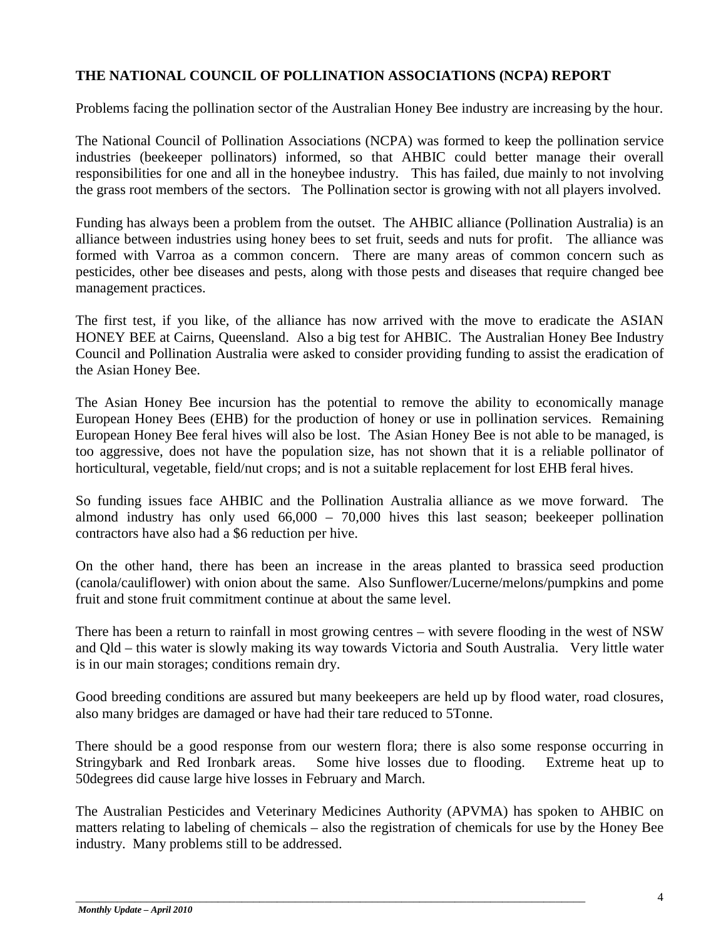### **THE NATIONAL COUNCIL OF POLLINATION ASSOCIATIONS (NCPA) REPORT**

Problems facing the pollination sector of the Australian Honey Bee industry are increasing by the hour.

The National Council of Pollination Associations (NCPA) was formed to keep the pollination service industries (beekeeper pollinators) informed, so that AHBIC could better manage their overall responsibilities for one and all in the honeybee industry. This has failed, due mainly to not involving the grass root members of the sectors. The Pollination sector is growing with not all players involved.

Funding has always been a problem from the outset. The AHBIC alliance (Pollination Australia) is an alliance between industries using honey bees to set fruit, seeds and nuts for profit. The alliance was formed with Varroa as a common concern. There are many areas of common concern such as pesticides, other bee diseases and pests, along with those pests and diseases that require changed bee management practices.

The first test, if you like, of the alliance has now arrived with the move to eradicate the ASIAN HONEY BEE at Cairns, Queensland. Also a big test for AHBIC. The Australian Honey Bee Industry Council and Pollination Australia were asked to consider providing funding to assist the eradication of the Asian Honey Bee.

The Asian Honey Bee incursion has the potential to remove the ability to economically manage European Honey Bees (EHB) for the production of honey or use in pollination services. Remaining European Honey Bee feral hives will also be lost. The Asian Honey Bee is not able to be managed, is too aggressive, does not have the population size, has not shown that it is a reliable pollinator of horticultural, vegetable, field/nut crops; and is not a suitable replacement for lost EHB feral hives.

So funding issues face AHBIC and the Pollination Australia alliance as we move forward. The almond industry has only used 66,000 – 70,000 hives this last season; beekeeper pollination contractors have also had a \$6 reduction per hive.

On the other hand, there has been an increase in the areas planted to brassica seed production (canola/cauliflower) with onion about the same. Also Sunflower/Lucerne/melons/pumpkins and pome fruit and stone fruit commitment continue at about the same level.

There has been a return to rainfall in most growing centres – with severe flooding in the west of NSW and Qld – this water is slowly making its way towards Victoria and South Australia. Very little water is in our main storages; conditions remain dry.

Good breeding conditions are assured but many beekeepers are held up by flood water, road closures, also many bridges are damaged or have had their tare reduced to 5Tonne.

There should be a good response from our western flora; there is also some response occurring in Stringybark and Red Ironbark areas. Some hive losses due to flooding. Extreme heat up to 50degrees did cause large hive losses in February and March.

The Australian Pesticides and Veterinary Medicines Authority (APVMA) has spoken to AHBIC on matters relating to labeling of chemicals – also the registration of chemicals for use by the Honey Bee industry. Many problems still to be addressed.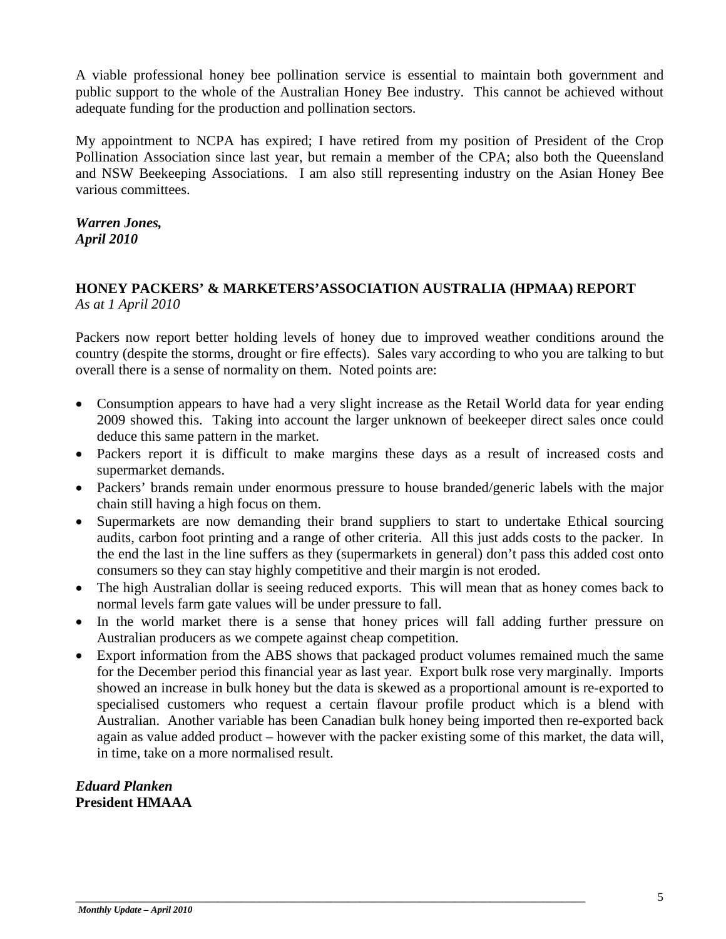A viable professional honey bee pollination service is essential to maintain both government and public support to the whole of the Australian Honey Bee industry. This cannot be achieved without adequate funding for the production and pollination sectors.

My appointment to NCPA has expired; I have retired from my position of President of the Crop Pollination Association since last year, but remain a member of the CPA; also both the Queensland and NSW Beekeeping Associations. I am also still representing industry on the Asian Honey Bee various committees.

*Warren Jones, April 2010*

### **HONEY PACKERS' & MARKETERS'ASSOCIATION AUSTRALIA (HPMAA) REPORT** *As at 1 April 2010*

Packers now report better holding levels of honey due to improved weather conditions around the country (despite the storms, drought or fire effects). Sales vary according to who you are talking to but overall there is a sense of normality on them. Noted points are:

- Consumption appears to have had a very slight increase as the Retail World data for year ending 2009 showed this. Taking into account the larger unknown of beekeeper direct sales once could deduce this same pattern in the market.
- Packers report it is difficult to make margins these days as a result of increased costs and supermarket demands.
- Packers' brands remain under enormous pressure to house branded/generic labels with the major chain still having a high focus on them.
- Supermarkets are now demanding their brand suppliers to start to undertake Ethical sourcing audits, carbon foot printing and a range of other criteria. All this just adds costs to the packer. In the end the last in the line suffers as they (supermarkets in general) don't pass this added cost onto consumers so they can stay highly competitive and their margin is not eroded.
- The high Australian dollar is seeing reduced exports. This will mean that as honey comes back to normal levels farm gate values will be under pressure to fall.
- In the world market there is a sense that honey prices will fall adding further pressure on Australian producers as we compete against cheap competition.
- Export information from the ABS shows that packaged product volumes remained much the same for the December period this financial year as last year. Export bulk rose very marginally. Imports showed an increase in bulk honey but the data is skewed as a proportional amount is re-exported to specialised customers who request a certain flavour profile product which is a blend with Australian. Another variable has been Canadian bulk honey being imported then re-exported back again as value added product – however with the packer existing some of this market, the data will, in time, take on a more normalised result.

*Eduard Planken* **President HMAAA**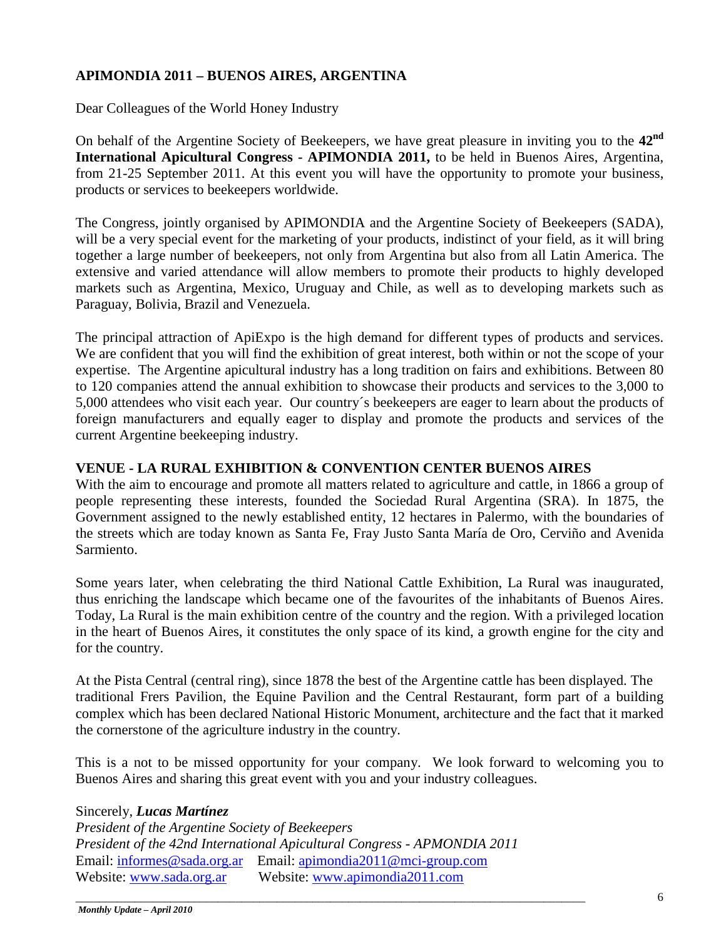### **APIMONDIA 2011 – BUENOS AIRES, ARGENTINA**

Dear Colleagues of the World Honey Industry

On behalf of the Argentine Society of Beekeepers, we have great pleasure in inviting you to the **42nd International Apicultural Congress - APIMONDIA 2011,** to be held in Buenos Aires, Argentina, from 21-25 September 2011. At this event you will have the opportunity to promote your business, products or services to beekeepers worldwide.

The Congress, jointly organised by APIMONDIA and the Argentine Society of Beekeepers (SADA), will be a very special event for the marketing of your products, indistinct of your field, as it will bring together a large number of beekeepers, not only from Argentina but also from all Latin America. The extensive and varied attendance will allow members to promote their products to highly developed markets such as Argentina, Mexico, Uruguay and Chile, as well as to developing markets such as Paraguay, Bolivia, Brazil and Venezuela.

The principal attraction of ApiExpo is the high demand for different types of products and services. We are confident that you will find the exhibition of great interest, both within or not the scope of your expertise. The Argentine apicultural industry has a long tradition on fairs and exhibitions. Between 80 to 120 companies attend the annual exhibition to showcase their products and services to the 3,000 to 5,000 attendees who visit each year. Our country´s beekeepers are eager to learn about the products of foreign manufacturers and equally eager to display and promote the products and services of the current Argentine beekeeping industry.

### **VENUE - LA RURAL EXHIBITION & CONVENTION CENTER BUENOS AIRES**

With the aim to encourage and promote all matters related to agriculture and cattle, in 1866 a group of people representing these interests, founded the Sociedad Rural Argentina (SRA). In 1875, the Government assigned to the newly established entity, 12 hectares in Palermo, with the boundaries of the streets which are today known as Santa Fe, Fray Justo Santa María de Oro, Cerviño and Avenida Sarmiento.

Some years later, when celebrating the third National Cattle Exhibition, La Rural was inaugurated, thus enriching the landscape which became one of the favourites of the inhabitants of Buenos Aires. Today, La Rural is the main exhibition centre of the country and the region. With a privileged location in the heart of Buenos Aires, it constitutes the only space of its kind, a growth engine for the city and for the country.

At the Pista Central (central ring), since 1878 the best of the Argentine cattle has been displayed. The traditional Frers Pavilion, the Equine Pavilion and the Central Restaurant, form part of a building complex which has been declared National Historic Monument, architecture and the fact that it marked the cornerstone of the agriculture industry in the country.

This is a not to be missed opportunity for your company. We look forward to welcoming you to Buenos Aires and sharing this great event with you and your industry colleagues.

### Sincerely, *Lucas Martínez*

*President of the Argentine Society of Beekeepers President of the 42nd International Apicultural Congress - APMONDIA 2011* Email: [informes@sada.org.ar](mailto:informes@sada.org.ar) Email: [apimondia2011@mci-group.com](mailto:apimondia2011@mci-group.com) Website: [www.sada.org.ar](http://www.sada.org.ar/) Website: [www.apimondia2011.com](http://www.apimondia2011.com/)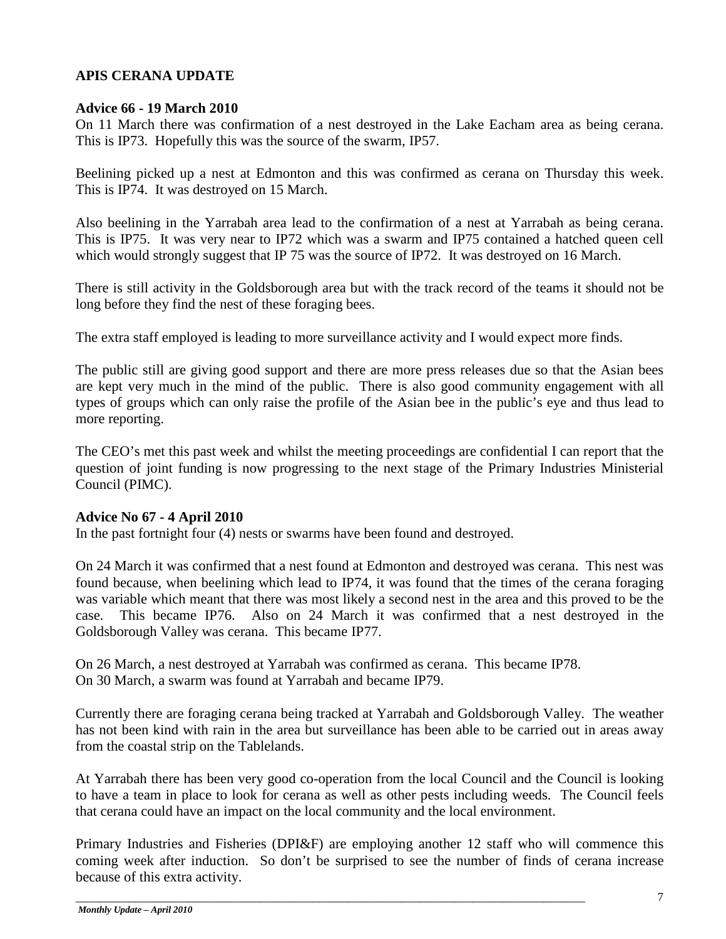### **APIS CERANA UPDATE**

### **Advice 66 - 19 March 2010**

On 11 March there was confirmation of a nest destroyed in the Lake Eacham area as being cerana. This is IP73. Hopefully this was the source of the swarm, IP57.

Beelining picked up a nest at Edmonton and this was confirmed as cerana on Thursday this week. This is IP74. It was destroyed on 15 March.

Also beelining in the Yarrabah area lead to the confirmation of a nest at Yarrabah as being cerana. This is IP75. It was very near to IP72 which was a swarm and IP75 contained a hatched queen cell which would strongly suggest that IP 75 was the source of IP72. It was destroyed on 16 March.

There is still activity in the Goldsborough area but with the track record of the teams it should not be long before they find the nest of these foraging bees.

The extra staff employed is leading to more surveillance activity and I would expect more finds.

The public still are giving good support and there are more press releases due so that the Asian bees are kept very much in the mind of the public. There is also good community engagement with all types of groups which can only raise the profile of the Asian bee in the public's eye and thus lead to more reporting.

The CEO's met this past week and whilst the meeting proceedings are confidential I can report that the question of joint funding is now progressing to the next stage of the Primary Industries Ministerial Council (PIMC).

### **Advice No 67 - 4 April 2010**

In the past fortnight four (4) nests or swarms have been found and destroyed.

On 24 March it was confirmed that a nest found at Edmonton and destroyed was cerana. This nest was found because, when beelining which lead to IP74, it was found that the times of the cerana foraging was variable which meant that there was most likely a second nest in the area and this proved to be the case. This became IP76. Also on 24 March it was confirmed that a nest destroyed in the Goldsborough Valley was cerana. This became IP77.

On 26 March, a nest destroyed at Yarrabah was confirmed as cerana. This became IP78. On 30 March, a swarm was found at Yarrabah and became IP79.

Currently there are foraging cerana being tracked at Yarrabah and Goldsborough Valley. The weather has not been kind with rain in the area but surveillance has been able to be carried out in areas away from the coastal strip on the Tablelands.

At Yarrabah there has been very good co-operation from the local Council and the Council is looking to have a team in place to look for cerana as well as other pests including weeds. The Council feels that cerana could have an impact on the local community and the local environment.

Primary Industries and Fisheries (DPI&F) are employing another 12 staff who will commence this coming week after induction. So don't be surprised to see the number of finds of cerana increase because of this extra activity.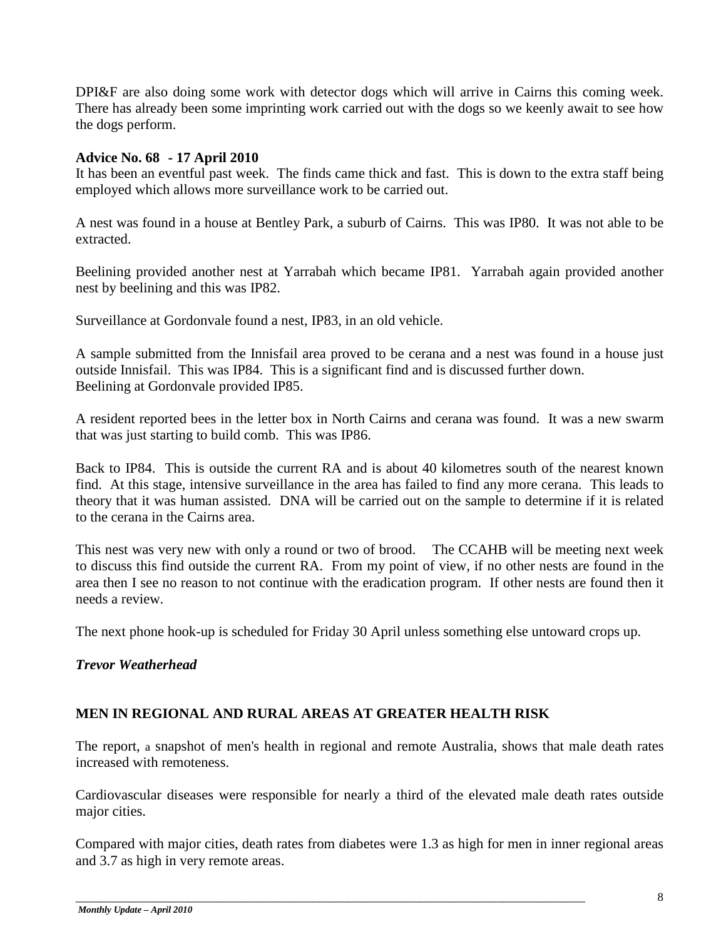DPI&F are also doing some work with detector dogs which will arrive in Cairns this coming week. There has already been some imprinting work carried out with the dogs so we keenly await to see how the dogs perform.

### **Advice No. 68 - 17 April 2010**

It has been an eventful past week. The finds came thick and fast. This is down to the extra staff being employed which allows more surveillance work to be carried out.

A nest was found in a house at Bentley Park, a suburb of Cairns. This was IP80. It was not able to be extracted.

Beelining provided another nest at Yarrabah which became IP81. Yarrabah again provided another nest by beelining and this was IP82.

Surveillance at Gordonvale found a nest, IP83, in an old vehicle.

A sample submitted from the Innisfail area proved to be cerana and a nest was found in a house just outside Innisfail. This was IP84. This is a significant find and is discussed further down. Beelining at Gordonvale provided IP85.

A resident reported bees in the letter box in North Cairns and cerana was found. It was a new swarm that was just starting to build comb. This was IP86.

Back to IP84. This is outside the current RA and is about 40 kilometres south of the nearest known find. At this stage, intensive surveillance in the area has failed to find any more cerana. This leads to theory that it was human assisted. DNA will be carried out on the sample to determine if it is related to the cerana in the Cairns area.

This nest was very new with only a round or two of brood. The CCAHB will be meeting next week to discuss this find outside the current RA. From my point of view, if no other nests are found in the area then I see no reason to not continue with the eradication program. If other nests are found then it needs a review.

The next phone hook-up is scheduled for Friday 30 April unless something else untoward crops up.

### *Trevor Weatherhead*

### **MEN IN REGIONAL AND RURAL AREAS AT GREATER HEALTH RISK**

The report, a snapshot of men's health in regional and remote Australia, shows that male death rates increased with remoteness.

Cardiovascular diseases were responsible for nearly a third of the elevated male death rates outside major cities.

Compared with major cities, death rates from diabetes were 1.3 as high for men in inner regional areas and 3.7 as high in very remote areas.

\_\_\_\_\_\_\_\_\_\_\_\_\_\_\_\_\_\_\_\_\_\_\_\_\_\_\_\_\_\_\_\_\_\_\_\_\_\_\_\_\_\_\_\_\_\_\_\_\_\_\_\_\_\_\_\_\_\_\_\_\_\_\_\_\_\_\_\_\_\_\_\_\_\_\_\_\_\_\_\_\_\_\_\_\_\_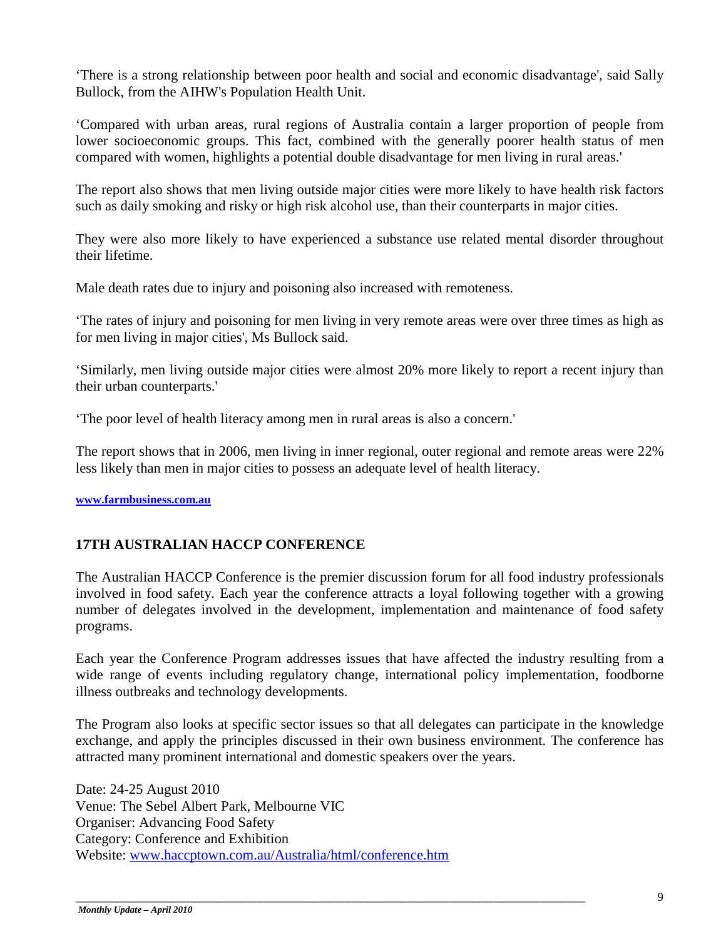'There is a strong relationship between poor health and social and economic disadvantage', said Sally Bullock, from the AIHW's Population Health Unit.

'Compared with urban areas, rural regions of Australia contain a larger proportion of people from lower socioeconomic groups. This fact, combined with the generally poorer health status of men compared with women, highlights a potential double disadvantage for men living in rural areas.'

The report also shows that men living outside major cities were more likely to have health risk factors such as daily smoking and risky or high risk alcohol use, than their counterparts in major cities.

They were also more likely to have experienced a substance use related mental disorder throughout their lifetime.

Male death rates due to injury and poisoning also increased with remoteness.

'The rates of injury and poisoning for men living in very remote areas were over three times as high as for men living in major cities', Ms Bullock said.

'Similarly, men living outside major cities were almost 20% more likely to report a recent injury than their urban counterparts.'

'The poor level of health literacy among men in rural areas is also a concern.'

The report shows that in 2006, men living in inner regional, outer regional and remote areas were 22% less likely than men in major cities to possess an adequate level of health literacy.

**[www.farmbusiness.com.au](http://www.farmbusiness.com.au/)**

### **17TH AUSTRALIAN HACCP CONFERENCE**

The Australian HACCP Conference is the premier discussion forum for all food industry professionals involved in food safety. Each year the conference attracts a loyal following together with a growing number of delegates involved in the development, implementation and maintenance of food safety programs.

Each year the Conference Program addresses issues that have affected the industry resulting from a wide range of events including regulatory change, international policy implementation, foodborne illness outbreaks and technology developments.

The Program also looks at specific sector issues so that all delegates can participate in the knowledge exchange, and apply the principles discussed in their own business environment. The conference has attracted many prominent international and domestic speakers over the years.

\_\_\_\_\_\_\_\_\_\_\_\_\_\_\_\_\_\_\_\_\_\_\_\_\_\_\_\_\_\_\_\_\_\_\_\_\_\_\_\_\_\_\_\_\_\_\_\_\_\_\_\_\_\_\_\_\_\_\_\_\_\_\_\_\_\_\_\_\_\_\_\_\_\_\_\_\_\_\_\_\_\_\_\_\_\_

Date: 24-25 August 2010 Venue: The Sebel Albert Park, Melbourne VIC Organiser: Advancing Food Safety Category: Conference and Exhibition Website: [www.haccptown.com.au/Australia/html/conference.htm](http://www.haccptown.com.au/Australia/html/conference.htm)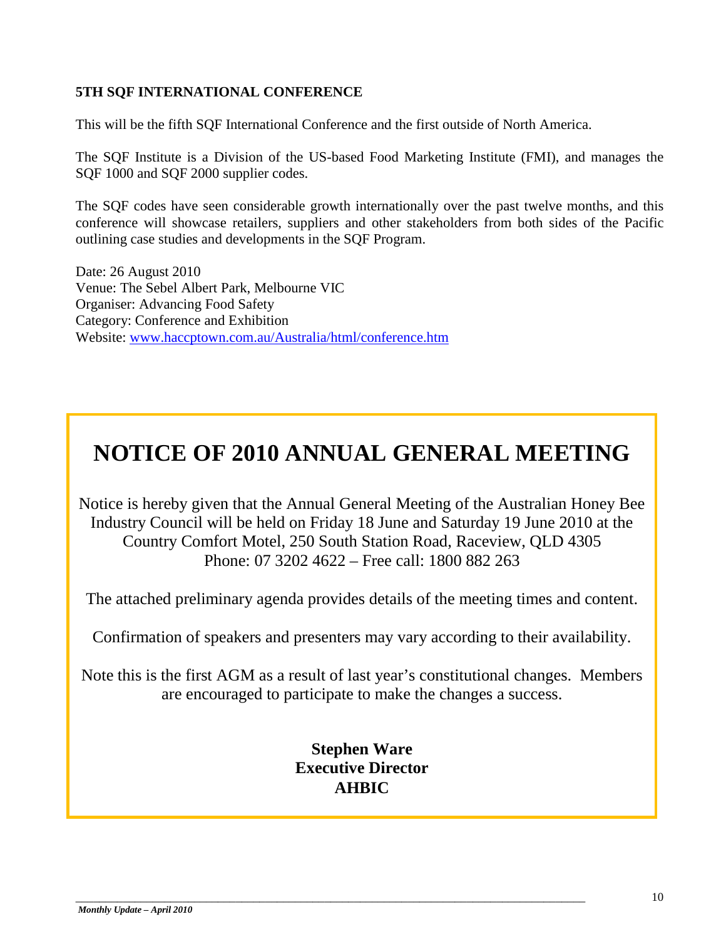### **5TH SQF INTERNATIONAL CONFERENCE**

This will be the fifth SQF International Conference and the first outside of North America.

The SQF Institute is a Division of the US-based Food Marketing Institute (FMI), and manages the SQF 1000 and SQF 2000 supplier codes.

The SQF codes have seen considerable growth internationally over the past twelve months, and this conference will showcase retailers, suppliers and other stakeholders from both sides of the Pacific outlining case studies and developments in the SQF Program.

Date: 26 August 2010 Venue: The Sebel Albert Park, Melbourne VIC Organiser: Advancing Food Safety Category: Conference and Exhibition Website: [www.haccptown.com.au/Australia/html/conference.htm](x-excid://DA550000/pas:mhtml:%7bE893699B-51D8-4B0C-AB05-2607543B5421%7dmid:/00000026/!x-usc:http:/www.haccptown.com.au/Australia/html/conference.htm)

# **NOTICE OF 2010 ANNUAL GENERAL MEETING**

Notice is hereby given that the Annual General Meeting of the Australian Honey Bee Industry Council will be held on Friday 18 June and Saturday 19 June 2010 at the Country Comfort Motel, 250 South Station Road, Raceview, QLD 4305 Phone: 07 3202 4622 – Free call: 1800 882 263

The attached preliminary agenda provides details of the meeting times and content.

Confirmation of speakers and presenters may vary according to their availability.

Note this is the first AGM as a result of last year's constitutional changes. Members are encouraged to participate to make the changes a success.

### **Stephen Ware Executive Director AHBIC**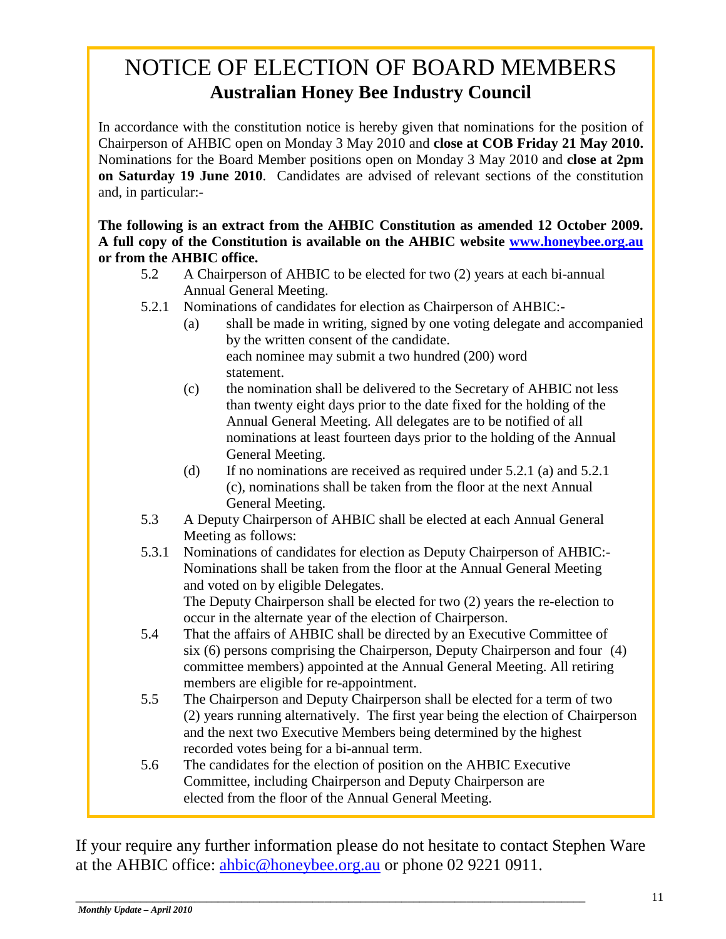## NOTICE OF ELECTION OF BOARD MEMBERS **Australian Honey Bee Industry Council**

In accordance with the constitution notice is hereby given that nominations for the position of Chairperson of AHBIC open on Monday 3 May 2010 and **close at COB Friday 21 May 2010.** Nominations for the Board Member positions open on Monday 3 May 2010 and **close at 2pm on Saturday 19 June 2010**. Candidates are advised of relevant sections of the constitution and, in particular:-

**The following is an extract from the AHBIC Constitution as amended 12 October 2009. A full copy of the Constitution is available on the AHBIC website [www.honeybee.org.au](http://www.honeybee.org.au/) or from the AHBIC office.**

- 5.2 A Chairperson of AHBIC to be elected for two (2) years at each bi-annual Annual General Meeting.
- 5.2.1 Nominations of candidates for election as Chairperson of AHBIC:-
	- (a) shall be made in writing, signed by one voting delegate and accompanied by the written consent of the candidate. each nominee may submit a two hundred (200) word statement.
	- (c) the nomination shall be delivered to the Secretary of AHBIC not less than twenty eight days prior to the date fixed for the holding of the Annual General Meeting. All delegates are to be notified of all nominations at least fourteen days prior to the holding of the Annual General Meeting.
	- (d) If no nominations are received as required under 5.2.1 (a) and 5.2.1 (c), nominations shall be taken from the floor at the next Annual General Meeting.
- 5.3 A Deputy Chairperson of AHBIC shall be elected at each Annual General Meeting as follows:
- 5.3.1 Nominations of candidates for election as Deputy Chairperson of AHBIC:- Nominations shall be taken from the floor at the Annual General Meeting and voted on by eligible Delegates.

The Deputy Chairperson shall be elected for two (2) years the re-election to occur in the alternate year of the election of Chairperson.

- 5.4 That the affairs of AHBIC shall be directed by an Executive Committee of six (6) persons comprising the Chairperson, Deputy Chairperson and four (4) committee members) appointed at the Annual General Meeting. All retiring members are eligible for re-appointment.
- 5.5 The Chairperson and Deputy Chairperson shall be elected for a term of two (2) years running alternatively. The first year being the election of Chairperson and the next two Executive Members being determined by the highest recorded votes being for a bi-annual term.
- 5.6 The candidates for the election of position on the AHBIC Executive Committee, including Chairperson and Deputy Chairperson are elected from the floor of the Annual General Meeting.

If your require any further information please do not hesitate to contact Stephen Ware at the AHBIC office: [ahbic@honeybee.org.au](mailto:ahbic@honeybee.org.au) or phone 02 9221 0911.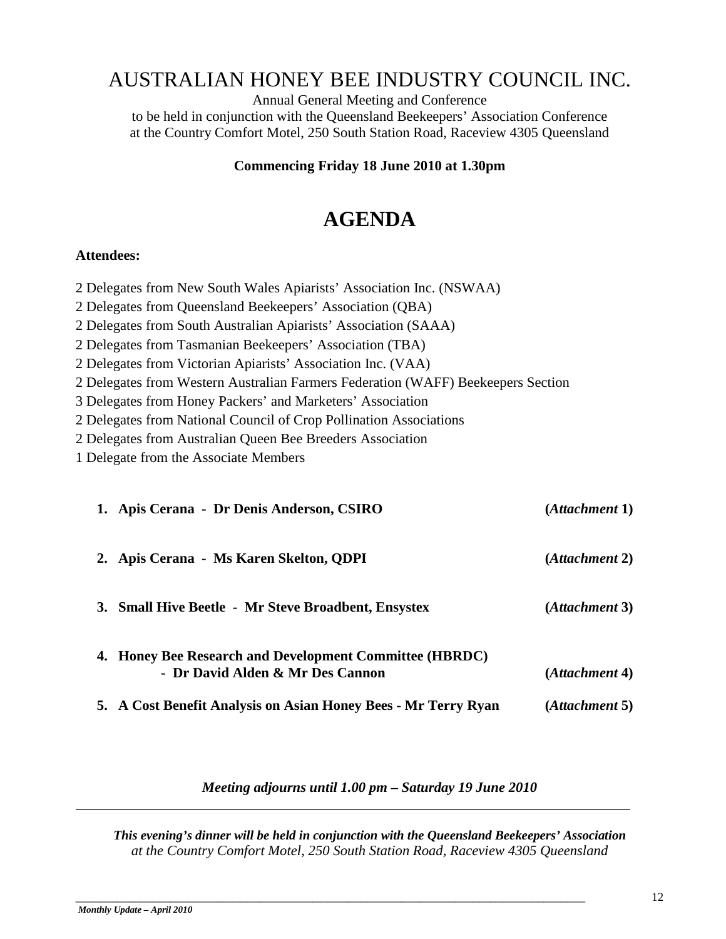### AUSTRALIAN HONEY BEE INDUSTRY COUNCIL INC.

Annual General Meeting and Conference to be held in conjunction with the Queensland Beekeepers' Association Conference at the Country Comfort Motel, 250 South Station Road, Raceview 4305 Queensland

### **Commencing Friday 18 June 2010 at 1.30pm**

### **AGENDA**

### **Attendees:**

- 2 Delegates from New South Wales Apiarists' Association Inc. (NSWAA)
- 2 Delegates from Queensland Beekeepers' Association (QBA)
- 2 Delegates from South Australian Apiarists' Association (SAAA)
- 2 Delegates from Tasmanian Beekeepers' Association (TBA)
- 2 Delegates from Victorian Apiarists' Association Inc. (VAA)
- 2 Delegates from Western Australian Farmers Federation (WAFF) Beekeepers Section
- 3 Delegates from Honey Packers' and Marketers' Association
- 2 Delegates from National Council of Crop Pollination Associations
- 2 Delegates from Australian Queen Bee Breeders Association
- 1 Delegate from the Associate Members

| 1. Apis Cerana - Dr Denis Anderson, CSIRO                                                   | (Attachment 1) |
|---------------------------------------------------------------------------------------------|----------------|
| 2. Apis Cerana - Ms Karen Skelton, QDPI                                                     | (Attachment 2) |
| 3. Small Hive Beetle - Mr Steve Broadbent, Ensystex                                         | (Attachment 3) |
| 4. Honey Bee Research and Development Committee (HBRDC)<br>- Dr David Alden & Mr Des Cannon | (Attachment 4) |
| 5. A Cost Benefit Analysis on Asian Honey Bees - Mr Terry Ryan                              | (Attachment 5) |

### *Meeting adjourns until 1.00 pm – Saturday 19 June 2010*

*This evening's dinner will be held in conjunction with the Queensland Beekeepers' Association at the Country Comfort Motel, 250 South Station Road, Raceview 4305 Queensland*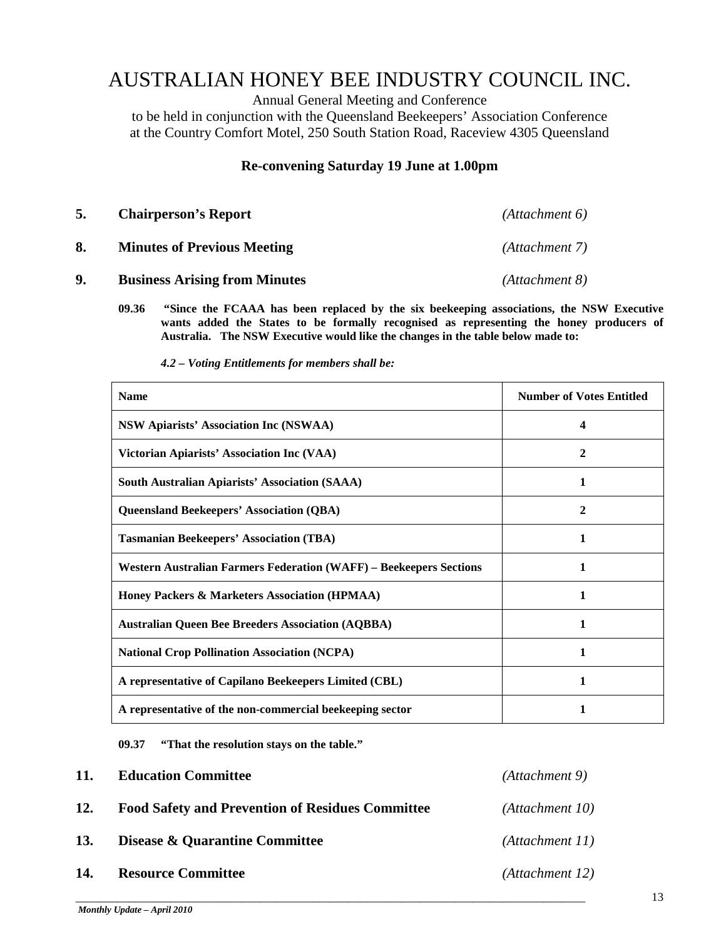### AUSTRALIAN HONEY BEE INDUSTRY COUNCIL INC.

Annual General Meeting and Conference

to be held in conjunction with the Queensland Beekeepers' Association Conference at the Country Comfort Motel, 250 South Station Road, Raceview 4305 Queensland

### **Re-convening Saturday 19 June at 1.00pm**

| 5. | <b>Chairperson's Report</b>          | (Attachment 6) |
|----|--------------------------------------|----------------|
| 8. | <b>Minutes of Previous Meeting</b>   | (Attachment 7) |
| 9. | <b>Business Arising from Minutes</b> | (Attachment 8) |

- **09.36 "Since the FCAAA has been replaced by the six beekeeping associations, the NSW Executive wants added the States to be formally recognised as representing the honey producers of Australia. The NSW Executive would like the changes in the table below made to:**
	- *4.2 – Voting Entitlements for members shall be:*

| <b>Name</b>                                                               | <b>Number of Votes Entitled</b> |
|---------------------------------------------------------------------------|---------------------------------|
| <b>NSW Apiarists' Association Inc (NSWAA)</b>                             | 4                               |
| Victorian Apiarists' Association Inc (VAA)                                | 2                               |
| <b>South Australian Apiarists' Association (SAAA)</b>                     | 1                               |
| <b>Queensland Beekeepers' Association (QBA)</b>                           | 2                               |
| <b>Tasmanian Beekeepers' Association (TBA)</b>                            | 1                               |
| <b>Western Australian Farmers Federation (WAFF) - Beekeepers Sections</b> | 1                               |
| Honey Packers & Marketers Association (HPMAA)                             | 1                               |
| <b>Australian Queen Bee Breeders Association (AQBBA)</b>                  | 1                               |
| <b>National Crop Pollination Association (NCPA)</b>                       |                                 |
| A representative of Capilano Beekeepers Limited (CBL)                     |                                 |
| A representative of the non-commercial beekeeping sector                  | 1                               |

**09.37 "That the resolution stays on the table."**

| 11. | <b>Education Committee</b>                              | (Attachment 9)  |
|-----|---------------------------------------------------------|-----------------|
| 12. | <b>Food Safety and Prevention of Residues Committee</b> | (Attachment 10) |
| 13. | Disease & Quarantine Committee                          | (Attachment 11) |
| 14. | <b>Resource Committee</b>                               | (Attachment 12) |

\_\_\_\_\_\_\_\_\_\_\_\_\_\_\_\_\_\_\_\_\_\_\_\_\_\_\_\_\_\_\_\_\_\_\_\_\_\_\_\_\_\_\_\_\_\_\_\_\_\_\_\_\_\_\_\_\_\_\_\_\_\_\_\_\_\_\_\_\_\_\_\_\_\_\_\_\_\_\_\_\_\_\_\_\_\_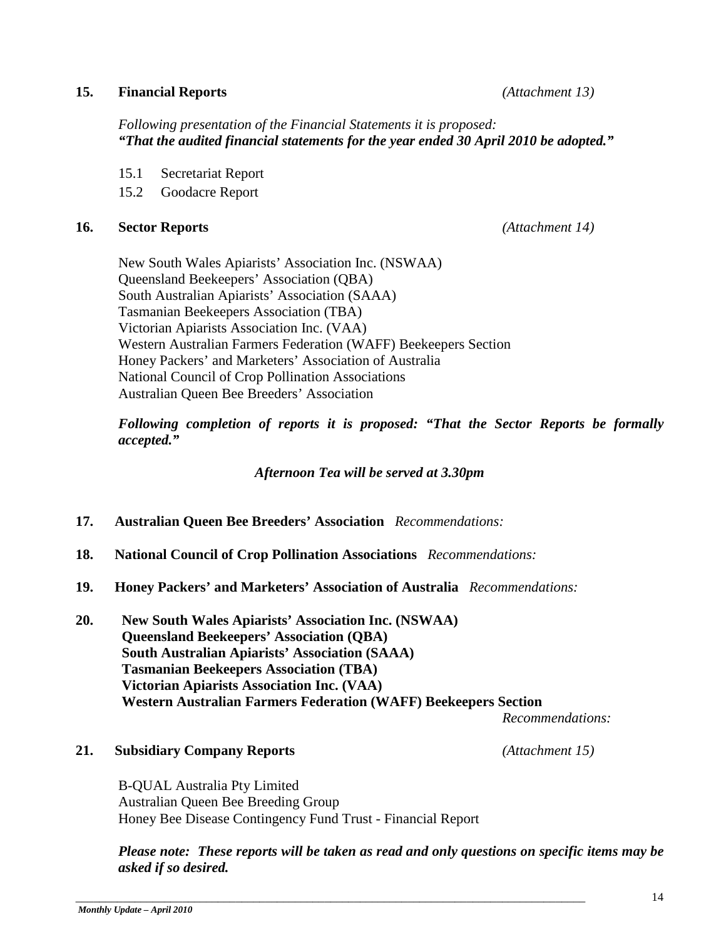### **15. Financial Reports** *(Attachment 13)*

*Following presentation of the Financial Statements it is proposed: "That the audited financial statements for the year ended 30 April 2010 be adopted."*

- 15.1 Secretariat Report
- 15.2 Goodacre Report

### **16. Sector Reports** *(Attachment 14)*

New South Wales Apiarists' Association Inc. (NSWAA) Queensland Beekeepers' Association (QBA) South Australian Apiarists' Association (SAAA) Tasmanian Beekeepers Association (TBA) Victorian Apiarists Association Inc. (VAA) Western Australian Farmers Federation (WAFF) Beekeepers Section Honey Packers' and Marketers' Association of Australia National Council of Crop Pollination Associations Australian Queen Bee Breeders' Association

*Following completion of reports it is proposed: "That the Sector Reports be formally accepted."*

*Afternoon Tea will be served at 3.30pm*

- **17. Australian Queen Bee Breeders' Association** *Recommendations:*
- **18. National Council of Crop Pollination Associations** *Recommendations:*
- **19. Honey Packers' and Marketers' Association of Australia** *Recommendations:*
- **20. New South Wales Apiarists' Association Inc. (NSWAA) Queensland Beekeepers' Association (QBA) South Australian Apiarists' Association (SAAA) Tasmanian Beekeepers Association (TBA) Victorian Apiarists Association Inc. (VAA) Western Australian Farmers Federation (WAFF) Beekeepers Section**

*Recommendations:*

### **21. Subsidiary Company Reports** *(Attachment 15)*

B-QUAL Australia Pty Limited Australian Queen Bee Breeding Group Honey Bee Disease Contingency Fund Trust - Financial Report

\_\_\_\_\_\_\_\_\_\_\_\_\_\_\_\_\_\_\_\_\_\_\_\_\_\_\_\_\_\_\_\_\_\_\_\_\_\_\_\_\_\_\_\_\_\_\_\_\_\_\_\_\_\_\_\_\_\_\_\_\_\_\_\_\_\_\_\_\_\_\_\_\_\_\_\_\_\_\_\_\_\_\_\_\_\_

*Please note: These reports will be taken as read and only questions on specific items may be asked if so desired.*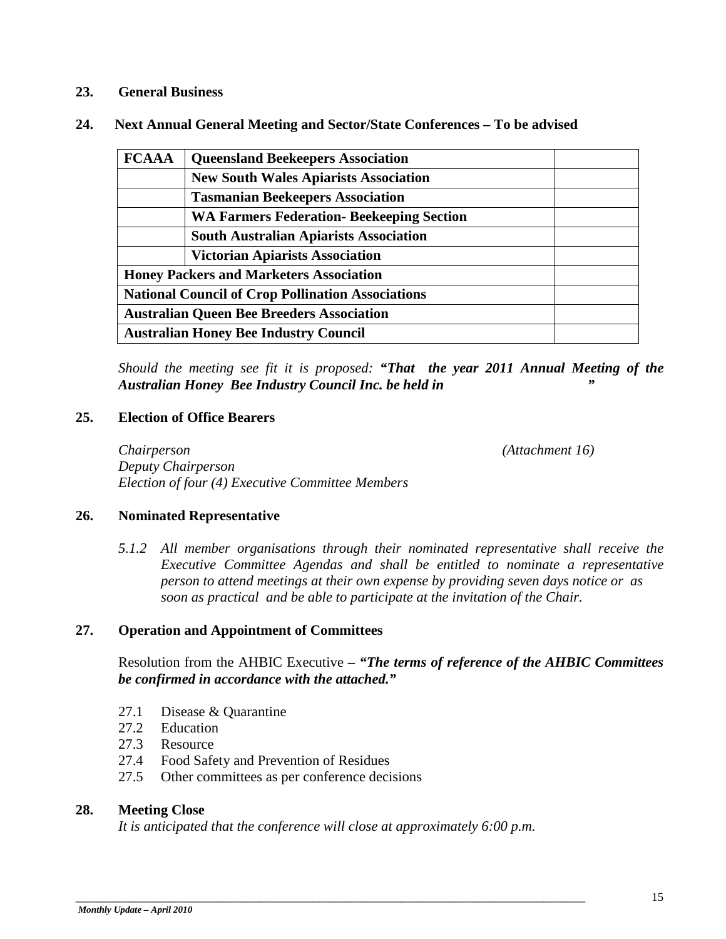### **23. General Business**

| 24. | Next Annual General Meeting and Sector/State Conferences – To be advised |  |  |
|-----|--------------------------------------------------------------------------|--|--|
|-----|--------------------------------------------------------------------------|--|--|

| <b>FCAAA</b>                                             | <b>Queensland Beekeepers Association</b>         |  |
|----------------------------------------------------------|--------------------------------------------------|--|
|                                                          | <b>New South Wales Apiarists Association</b>     |  |
|                                                          | <b>Tasmanian Beekeepers Association</b>          |  |
|                                                          | <b>WA Farmers Federation- Beekeeping Section</b> |  |
|                                                          | <b>South Australian Apiarists Association</b>    |  |
|                                                          | <b>Victorian Apiarists Association</b>           |  |
| <b>Honey Packers and Marketers Association</b>           |                                                  |  |
| <b>National Council of Crop Pollination Associations</b> |                                                  |  |
| <b>Australian Queen Bee Breeders Association</b>         |                                                  |  |
| <b>Australian Honey Bee Industry Council</b>             |                                                  |  |

*Should the meeting see fit it is proposed: "That the year 2011 Annual Meeting of the Australian Honey Bee Industry Council Inc. be held in "*

#### **25. Election of Office Bearers**

*Chairperson (Attachment 16) Deputy Chairperson Election of four (4) Executive Committee Members*

#### **26. Nominated Representative**

*5.1.2 All member organisations through their nominated representative shall receive the Executive Committee Agendas and shall be entitled to nominate a representative person to attend meetings at their own expense by providing seven days notice or as soon as practical and be able to participate at the invitation of the Chair.*

### **27. Operation and Appointment of Committees**

Resolution from the AHBIC Executive *– "The terms of reference of the AHBIC Committees be confirmed in accordance with the attached."*

- 27.1 Disease & Quarantine
- 27.2 Education
- 27.3 Resource
- 27.4 Food Safety and Prevention of Residues
- 27.5 Other committees as per conference decisions

#### **28. Meeting Close**

*It is anticipated that the conference will close at approximately 6:00 p.m.*